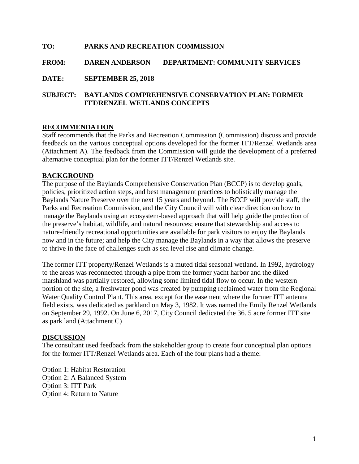### **TO: PARKS AND RECREATION COMMISSION**

### **FROM: DAREN ANDERSON DEPARTMENT: COMMUNITY SERVICES**

**DATE: SEPTEMBER 25, 2018**

### **SUBJECT: BAYLANDS COMPREHENSIVE CONSERVATION PLAN: FORMER ITT/RENZEL WETLANDS CONCEPTS**

#### **RECOMMENDATION**

Staff recommends that the Parks and Recreation Commission (Commission) discuss and provide feedback on the various conceptual options developed for the former ITT/Renzel Wetlands area (Attachment A). The feedback from the Commission will guide the development of a preferred alternative conceptual plan for the former ITT/Renzel Wetlands site.

#### **BACKGROUND**

The purpose of the Baylands Comprehensive Conservation Plan (BCCP) is to develop goals, policies, prioritized action steps, and best management practices to holistically manage the Baylands Nature Preserve over the next 15 years and beyond. The BCCP will provide staff, the Parks and Recreation Commission, and the City Council will with clear direction on how to manage the Baylands using an ecosystem-based approach that will help guide the protection of the preserve's habitat, wildlife, and natural resources; ensure that stewardship and access to nature-friendly recreational opportunities are available for park visitors to enjoy the Baylands now and in the future; and help the City manage the Baylands in a way that allows the preserve to thrive in the face of challenges such as sea level rise and climate change.

The former ITT property/Renzel Wetlands is a muted tidal seasonal wetland. In 1992, hydrology to the areas was reconnected through a pipe from the former yacht harbor and the diked marshland was partially restored, allowing some limited tidal flow to occur. In the western portion of the site, a freshwater pond was created by pumping reclaimed water from the Regional Water Quality Control Plant. This area, except for the easement where the former ITT antenna field exists, was dedicated as parkland on May 3, 1982. It was named the Emily Renzel Wetlands on September 29, 1992. On June 6, 2017, City Council dedicated the 36. 5 acre former ITT site as park land (Attachment C)

#### **DISCUSSION**

The consultant used feedback from the stakeholder group to create four conceptual plan options for the former ITT/Renzel Wetlands area. Each of the four plans had a theme:

Option 1: Habitat Restoration Option 2: A Balanced System Option 3: ITT Park Option 4: Return to Nature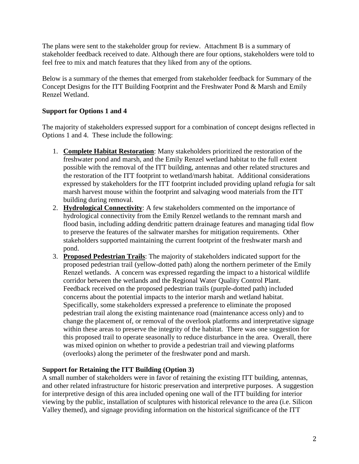The plans were sent to the stakeholder group for review. Attachment B is a summary of stakeholder feedback received to date. Although there are four options, stakeholders were told to feel free to mix and match features that they liked from any of the options.

Below is a summary of the themes that emerged from stakeholder feedback for Summary of the Concept Designs for the ITT Building Footprint and the Freshwater Pond & Marsh and Emily Renzel Wetland.

## **Support for Options 1 and 4**

The majority of stakeholders expressed support for a combination of concept designs reflected in Options 1 and 4. These include the following:

- 1. **Complete Habitat Restoration**: Many stakeholders prioritized the restoration of the freshwater pond and marsh, and the Emily Renzel wetland habitat to the full extent possible with the removal of the ITT building, antennas and other related structures and the restoration of the ITT footprint to wetland/marsh habitat. Additional considerations expressed by stakeholders for the ITT footprint included providing upland refugia for salt marsh harvest mouse within the footprint and salvaging wood materials from the ITT building during removal.
- 2. **Hydrological Connectivity**: A few stakeholders commented on the importance of hydrological connectivity from the Emily Renzel wetlands to the remnant marsh and flood basin, including adding dendritic pattern drainage features and managing tidal flow to preserve the features of the saltwater marshes for mitigation requirements. Other stakeholders supported maintaining the current footprint of the freshwater marsh and pond.
- 3. **Proposed Pedestrian Trails**: The majority of stakeholders indicated support for the proposed pedestrian trail (yellow-dotted path) along the northern perimeter of the Emily Renzel wetlands. A concern was expressed regarding the impact to a historical wildlife corridor between the wetlands and the Regional Water Quality Control Plant. Feedback received on the proposed pedestrian trails (purple-dotted path) included concerns about the potential impacts to the interior marsh and wetland habitat. Specifically, some stakeholders expressed a preference to eliminate the proposed pedestrian trail along the existing maintenance road (maintenance access only) and to change the placement of, or removal of the overlook platforms and interpretative signage within these areas to preserve the integrity of the habitat. There was one suggestion for this proposed trail to operate seasonally to reduce disturbance in the area. Overall, there was mixed opinion on whether to provide a pedestrian trail and viewing platforms (overlooks) along the perimeter of the freshwater pond and marsh.

### **Support for Retaining the ITT Building (Option 3)**

A small number of stakeholders were in favor of retaining the existing ITT building, antennas, and other related infrastructure for historic preservation and interpretive purposes. A suggestion for interpretive design of this area included opening one wall of the ITT building for interior viewing by the public, installation of sculptures with historical relevance to the area (i.e. Silicon Valley themed), and signage providing information on the historical significance of the ITT